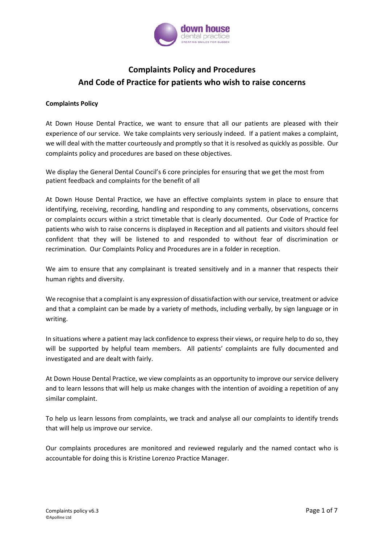

## **Complaints Policy and Procedures And Code of Practice for patients who wish to raise concerns**

#### **Complaints Policy**

At Down House Dental Practice, we want to ensure that all our patients are pleased with their experience of our service. We take complaints very seriously indeed. If a patient makes a complaint, we will deal with the matter courteously and promptly so that it is resolved as quickly as possible. Our complaints policy and procedures are based on these objectives.

We display the General Dental Council's 6 core principles for ensuring that we get the most from patient feedback and complaints for the benefit of all

At Down House Dental Practice, we have an effective complaints system in place to ensure that identifying, receiving, recording, handling and responding to any comments, observations, concerns or complaints occurs within a strict timetable that is clearly documented. Our Code of Practice for patients who wish to raise concerns is displayed in Reception and all patients and visitors should feel confident that they will be listened to and responded to without fear of discrimination or recrimination. Our Complaints Policy and Procedures are in a folder in reception.

We aim to ensure that any complainant is treated sensitively and in a manner that respects their human rights and diversity.

We recognise that a complaint is any expression of dissatisfaction with our service, treatment or advice and that a complaint can be made by a variety of methods, including verbally, by sign language or in writing.

In situations where a patient may lack confidence to express their views, or require help to do so, they will be supported by helpful team members. All patients' complaints are fully documented and investigated and are dealt with fairly.

At Down House Dental Practice, we view complaints as an opportunity to improve our service delivery and to learn lessons that will help us make changes with the intention of avoiding a repetition of any similar complaint.

To help us learn lessons from complaints, we track and analyse all our complaints to identify trends that will help us improve our service.

Our complaints procedures are monitored and reviewed regularly and the named contact who is accountable for doing this is Kristine Lorenzo Practice Manager.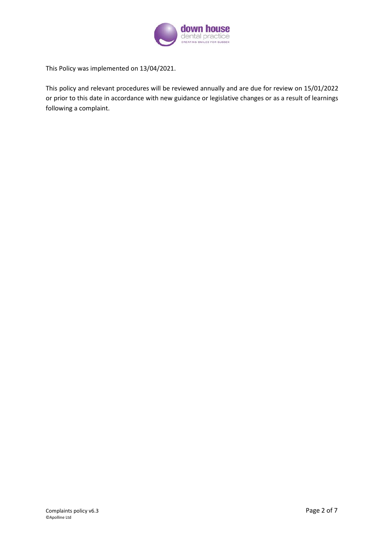

This Policy was implemented on 13/04/2021.

This policy and relevant procedures will be reviewed annually and are due for review on 15/01/2022 or prior to this date in accordance with new guidance or legislative changes or as a result of learnings following a complaint.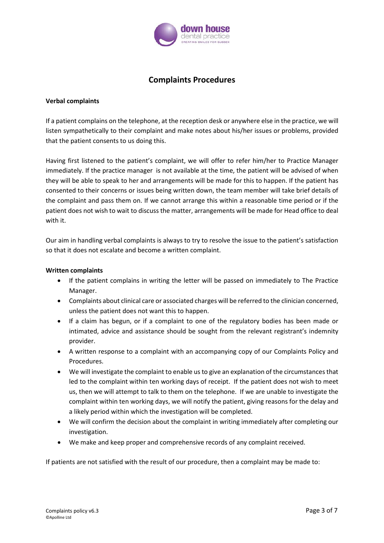

### **Complaints Procedures**

#### **Verbal complaints**

If a patient complains on the telephone, at the reception desk or anywhere else in the practice, we will listen sympathetically to their complaint and make notes about his/her issues or problems, provided that the patient consents to us doing this.

Having first listened to the patient's complaint, we will offer to refer him/her to Practice Manager immediately. If the practice manager is not available at the time, the patient will be advised of when they will be able to speak to her and arrangements will be made for this to happen. If the patient has consented to their concerns or issues being written down, the team member will take brief details of the complaint and pass them on. If we cannot arrange this within a reasonable time period or if the patient does not wish to wait to discuss the matter, arrangements will be made for Head office to deal with it.

Our aim in handling verbal complaints is always to try to resolve the issue to the patient's satisfaction so that it does not escalate and become a written complaint.

#### **Written complaints**

- If the patient complains in writing the letter will be passed on immediately to The Practice Manager.
- Complaints about clinical care or associated charges will be referred to the clinician concerned, unless the patient does not want this to happen.
- If a claim has begun, or if a complaint to one of the regulatory bodies has been made or intimated, advice and assistance should be sought from the relevant registrant's indemnity provider.
- A written response to a complaint with an accompanying copy of our Complaints Policy and Procedures.
- We will investigate the complaint to enable us to give an explanation of the circumstances that led to the complaint within ten working days of receipt. If the patient does not wish to meet us, then we will attempt to talk to them on the telephone. If we are unable to investigate the complaint within ten working days, we will notify the patient, giving reasons for the delay and a likely period within which the investigation will be completed.
- We will confirm the decision about the complaint in writing immediately after completing our investigation.
- We make and keep proper and comprehensive records of any complaint received.

If patients are not satisfied with the result of our procedure, then a complaint may be made to: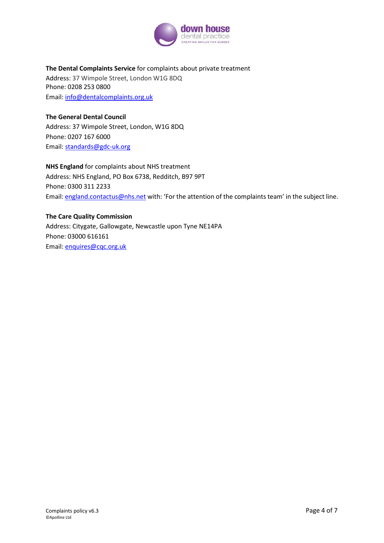

#### **The Dental Complaints Service** for complaints about private treatment

Address: 37 Wimpole Street, London W1G 8DQ Phone: 0208 253 0800 Email: [info@dentalcomplaints.org.uk](mailto:info@dentalcomplaints.org.uk)

**The General Dental Council** Address: 37 Wimpole Street, London, W1G 8DQ Phone: 0207 167 6000 Email: [standards@gdc-uk.org](mailto:standards@gdc-uk.org)

**NHS England** for complaints about NHS treatment Address: NHS England, PO Box 6738, Redditch, B97 9PT Phone: 0300 311 2233 Email[: england.contactus@nhs.net](mailto:england.contactus@nhs.net) with: 'For the attention of the complaints team' in the subject line.

### **The Care Quality Commission**

Address: Citygate, Gallowgate, Newcastle upon Tyne NE14PA Phone: 03000 616161 Email: [enquires@cqc.org.uk](mailto:enquires@cqc.org.uk)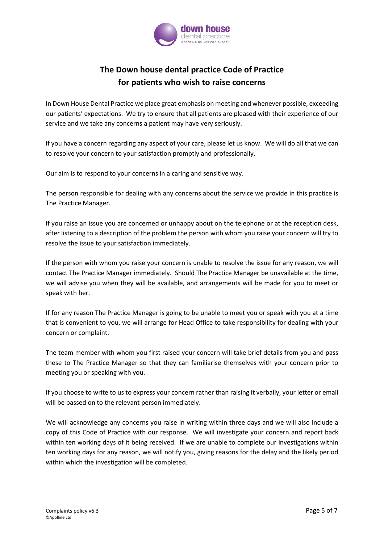

# **The Down house dental practice Code of Practice for patients who wish to raise concerns**

In Down House Dental Practice we place great emphasis on meeting and whenever possible, exceeding our patients' expectations. We try to ensure that all patients are pleased with their experience of our service and we take any concerns a patient may have very seriously.

If you have a concern regarding any aspect of your care, please let us know. We will do all that we can to resolve your concern to your satisfaction promptly and professionally.

Our aim is to respond to your concerns in a caring and sensitive way.

The person responsible for dealing with any concerns about the service we provide in this practice is The Practice Manager.

If you raise an issue you are concerned or unhappy about on the telephone or at the reception desk, after listening to a description of the problem the person with whom you raise your concern will try to resolve the issue to your satisfaction immediately.

If the person with whom you raise your concern is unable to resolve the issue for any reason, we will contact The Practice Manager immediately. Should The Practice Manager be unavailable at the time, we will advise you when they will be available, and arrangements will be made for you to meet or speak with her.

If for any reason The Practice Manager is going to be unable to meet you or speak with you at a time that is convenient to you, we will arrange for Head Office to take responsibility for dealing with your concern or complaint.

The team member with whom you first raised your concern will take brief details from you and pass these to The Practice Manager so that they can familiarise themselves with your concern prior to meeting you or speaking with you.

If you choose to write to us to express your concern rather than raising it verbally, your letter or email will be passed on to the relevant person immediately.

We will acknowledge any concerns you raise in writing within three days and we will also include a copy of this Code of Practice with our response. We will investigate your concern and report back within ten working days of it being received. If we are unable to complete our investigations within ten working days for any reason, we will notify you, giving reasons for the delay and the likely period within which the investigation will be completed.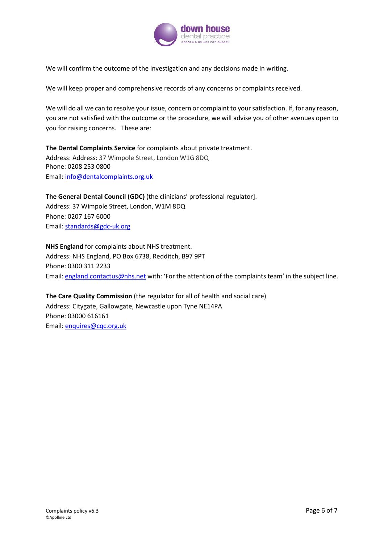

We will confirm the outcome of the investigation and any decisions made in writing.

We will keep proper and comprehensive records of any concerns or complaints received.

We will do all we can to resolve your issue, concern or complaint to your satisfaction. If, for any reason, you are not satisfied with the outcome or the procedure, we will advise you of other avenues open to you for raising concerns. These are:

**The Dental Complaints Service** for complaints about private treatment. Address: Address: 37 Wimpole Street, London W1G 8DQ Phone: 0208 253 0800 Email: [info@dentalcomplaints.org.uk](mailto:info@dentalcomplaints.org.uk)

**The General Dental Council (GDC)** (the clinicians' professional regulator]. Address: 37 Wimpole Street, London, W1M 8DQ Phone: 0207 167 6000 Email: [standards@gdc-uk.org](mailto:standards@gdc-uk.org)

**NHS England** for complaints about NHS treatment. Address: NHS England, PO Box 6738, Redditch, B97 9PT Phone: 0300 311 2233 Email[: england.contactus@nhs.net](mailto:england.contactus@nhs.net) with: 'For the attention of the complaints team' in the subject line.

**The Care Quality Commission** (the regulator for all of health and social care) Address: Citygate, Gallowgate, Newcastle upon Tyne NE14PA Phone: 03000 616161 Email: [enquires@cqc.org.uk](mailto:enquires@cqc.org.uk)